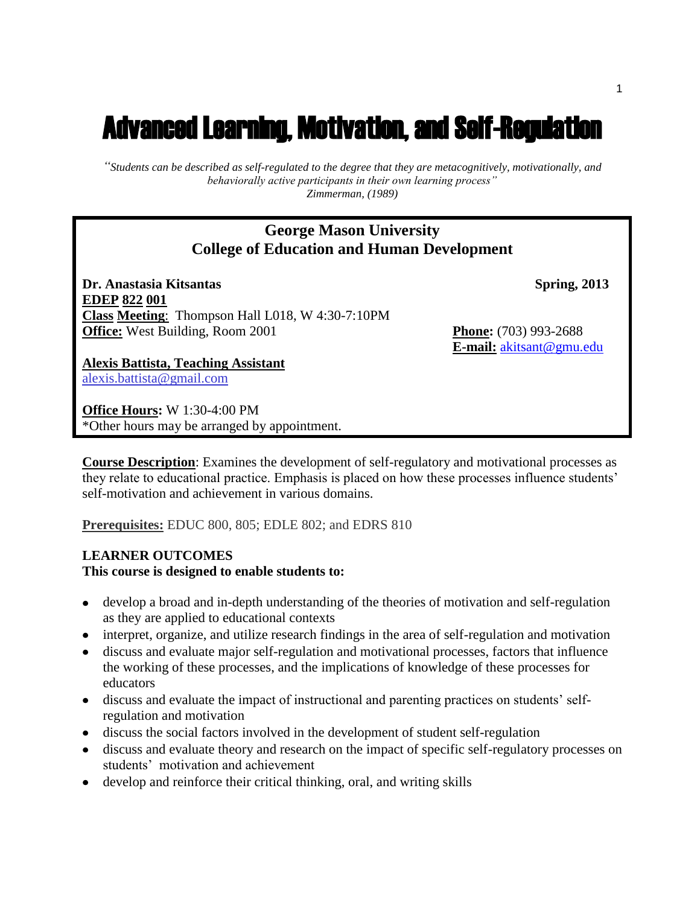# Advanced Learning, Motivation, and Self-Regulation

*"Students can be described as self-regulated to the degree that they are metacognitively, motivationally, and behaviorally active participants in their own learning process" Zimmerman, (1989)*

# **George Mason University College of Education and Human Development**

**Dr. Anastasia Kitsantas Spring, 2013 EDEP 822 001 Class Meeting**: Thompson Hall L018, W 4:30-7:10PM **Office:** West Building, Room 2001 **Phone:** (703) 993-2688

**E-mail:** [akitsant@gmu.edu](mailto:akitsant@gmu.edu)

**Alexis Battista, Teaching Assistant** alexis.battista@gmail.com

**Office Hours:** W 1:30-4:00 PM \*Other hours may be arranged by appointment.

**Course Description**: Examines the development of self-regulatory and motivational processes as they relate to educational practice. Emphasis is placed on how these processes influence students' self-motivation and achievement in various domains.

**Prerequisites:** EDUC 800, 805; EDLE 802; and EDRS 810

### **LEARNER OUTCOMES This course is designed to enable students to:**

- develop a broad and in-depth understanding of the theories of motivation and self-regulation as they are applied to educational contexts
- interpret, organize, and utilize research findings in the area of self-regulation and motivation
- discuss and evaluate major self-regulation and motivational processes, factors that influence the working of these processes, and the implications of knowledge of these processes for educators
- discuss and evaluate the impact of instructional and parenting practices on students' selfregulation and motivation
- discuss the social factors involved in the development of student self-regulation
- discuss and evaluate theory and research on the impact of specific self-regulatory processes on students' motivation and achievement
- develop and reinforce their critical thinking, oral, and writing skills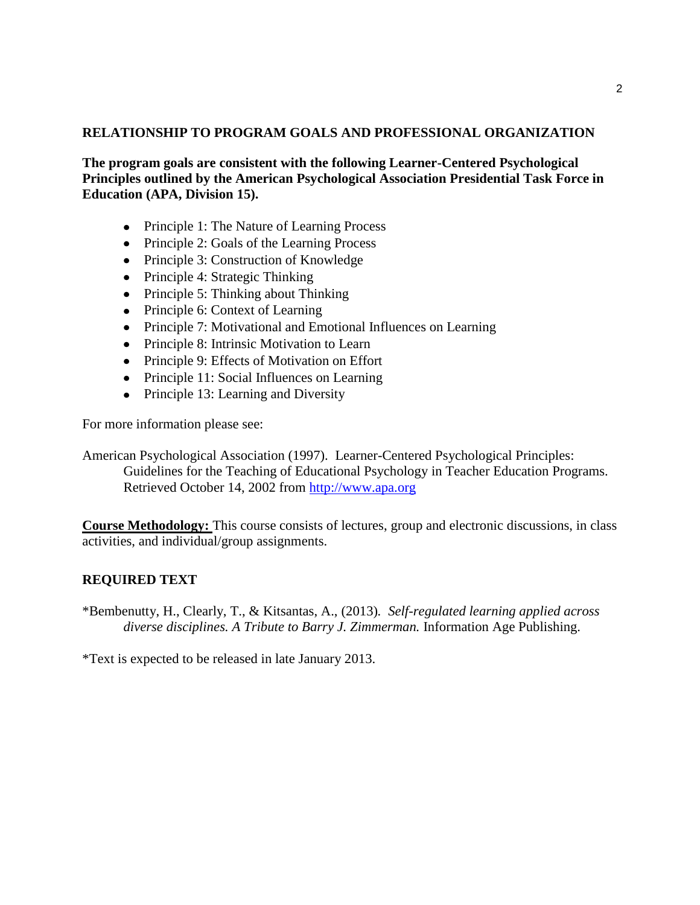### **RELATIONSHIP TO PROGRAM GOALS AND PROFESSIONAL ORGANIZATION**

**The program goals are consistent with the following Learner-Centered Psychological Principles outlined by the American Psychological Association Presidential Task Force in Education (APA, Division 15).** 

- Principle 1: The Nature of Learning Process
- Principle 2: Goals of the Learning Process
- Principle 3: Construction of Knowledge
- Principle 4: Strategic Thinking
- Principle 5: Thinking about Thinking
- Principle 6: Context of Learning
- Principle 7: Motivational and Emotional Influences on Learning
- Principle 8: Intrinsic Motivation to Learn
- Principle 9: Effects of Motivation on Effort
- Principle 11: Social Influences on Learning
- Principle 13: Learning and Diversity

For more information please see:

American Psychological Association (1997). Learner-Centered Psychological Principles: Guidelines for the Teaching of Educational Psychology in Teacher Education Programs. Retrieved October 14, 2002 from [http://www.apa.org](http://www.apa.org/)

**Course Methodology:** This course consists of lectures, group and electronic discussions, in class activities, and individual/group assignments.

### **REQUIRED TEXT**

\*Bembenutty, H., Clearly, T., & Kitsantas, A., (2013)*. Self-regulated learning applied across diverse disciplines. A Tribute to Barry J. Zimmerman.* Information Age Publishing.

\*Text is expected to be released in late January 2013.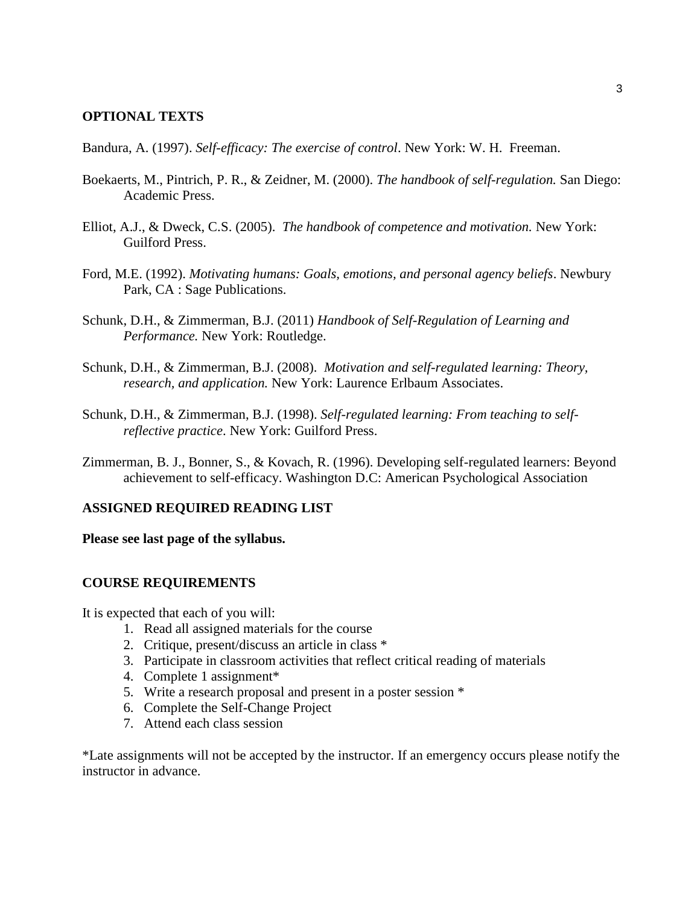### **OPTIONAL TEXTS**

Bandura, A. (1997). *Self-efficacy: The exercise of control*. New York: W. H. Freeman.

- Boekaerts, M., Pintrich, P. R., & Zeidner, M. (2000). *The handbook of self-regulation.* San Diego: Academic Press.
- Elliot, A.J., & Dweck, C.S. (2005). *The handbook of competence and motivation.* New York: Guilford Press.
- Ford, M.E. (1992). *Motivating humans: Goals, emotions, and personal agency beliefs*. Newbury Park, CA : Sage Publications.
- Schunk, D.H., & Zimmerman, B.J. (2011) *Handbook of Self-Regulation of Learning and Performance.* New York: Routledge.
- Schunk, D.H., & Zimmerman, B.J. (2008). *Motivation and self-regulated learning: Theory, research, and application.* New York: Laurence Erlbaum Associates.
- Schunk, D.H., & Zimmerman, B.J. (1998). *Self-regulated learning: From teaching to selfreflective practice*. New York: Guilford Press.
- Zimmerman, B. J., Bonner, S., & Kovach, R. (1996). Developing self-regulated learners: Beyond achievement to self-efficacy. Washington D.C: American Psychological Association

### **ASSIGNED REQUIRED READING LIST**

#### **Please see last page of the syllabus.**

### **COURSE REQUIREMENTS**

It is expected that each of you will:

- 1. Read all assigned materials for the course
- 2. Critique, present/discuss an article in class \*
- 3. Participate in classroom activities that reflect critical reading of materials
- 4. Complete 1 assignment\*
- 5. Write a research proposal and present in a poster session \*
- 6. Complete the Self-Change Project
- 7. Attend each class session

\*Late assignments will not be accepted by the instructor. If an emergency occurs please notify the instructor in advance.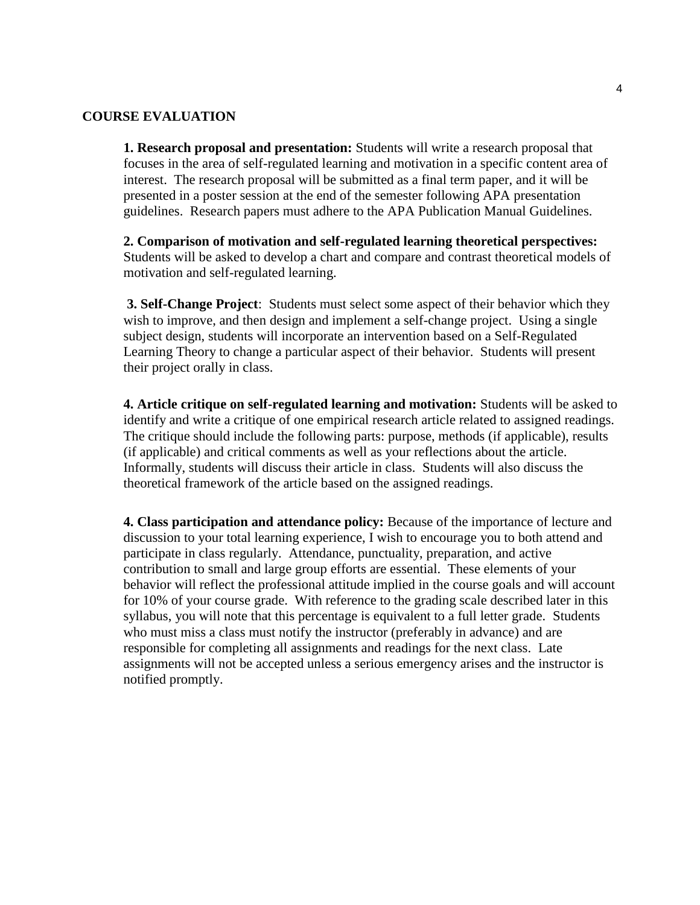### **COURSE EVALUATION**

**1. Research proposal and presentation:** Students will write a research proposal that focuses in the area of self-regulated learning and motivation in a specific content area of interest. The research proposal will be submitted as a final term paper, and it will be presented in a poster session at the end of the semester following APA presentation guidelines. Research papers must adhere to the APA Publication Manual Guidelines.

**2. Comparison of motivation and self-regulated learning theoretical perspectives:**  Students will be asked to develop a chart and compare and contrast theoretical models of motivation and self-regulated learning.

**3. Self-Change Project**: Students must select some aspect of their behavior which they wish to improve, and then design and implement a self-change project. Using a single subject design, students will incorporate an intervention based on a Self-Regulated Learning Theory to change a particular aspect of their behavior. Students will present their project orally in class.

**4. Article critique on self-regulated learning and motivation:** Students will be asked to identify and write a critique of one empirical research article related to assigned readings. The critique should include the following parts: purpose, methods (if applicable), results (if applicable) and critical comments as well as your reflections about the article. Informally, students will discuss their article in class. Students will also discuss the theoretical framework of the article based on the assigned readings.

**4. Class participation and attendance policy:** Because of the importance of lecture and discussion to your total learning experience, I wish to encourage you to both attend and participate in class regularly. Attendance, punctuality, preparation, and active contribution to small and large group efforts are essential. These elements of your behavior will reflect the professional attitude implied in the course goals and will account for 10% of your course grade. With reference to the grading scale described later in this syllabus, you will note that this percentage is equivalent to a full letter grade. Students who must miss a class must notify the instructor (preferably in advance) and are responsible for completing all assignments and readings for the next class. Late assignments will not be accepted unless a serious emergency arises and the instructor is notified promptly.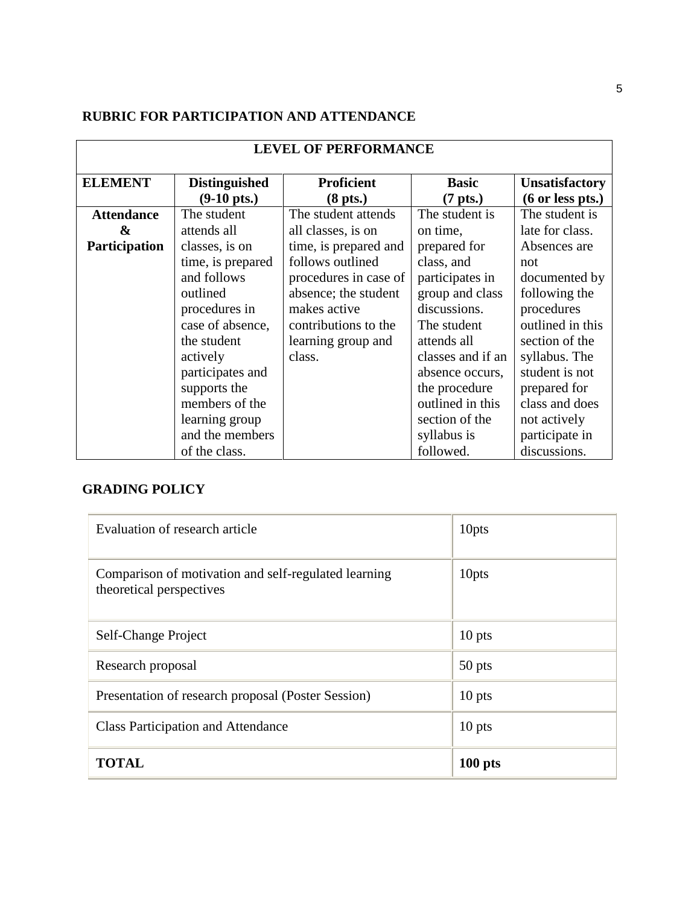# **RUBRIC FOR PARTICIPATION AND ATTENDANCE**

| <b>LEVEL OF PERFORMANCE</b> |                       |                       |                    |                       |  |
|-----------------------------|-----------------------|-----------------------|--------------------|-----------------------|--|
| <b>ELEMENT</b>              | <b>Distinguished</b>  | <b>Proficient</b>     | <b>Basic</b>       | <b>Unsatisfactory</b> |  |
|                             | $(9-10 \text{ pts.})$ | $(8$ pts.)            | $(7 \text{ pts.})$ | $(6$ or less pts.)    |  |
| <b>Attendance</b>           | The student           | The student attends   | The student is     | The student is        |  |
| &                           | attends all           | all classes, is on    | on time,           | late for class.       |  |
| Participation               | classes, is on        | time, is prepared and | prepared for       | Absences are          |  |
|                             | time, is prepared     | follows outlined      | class, and         | not                   |  |
|                             | and follows           | procedures in case of | participates in    | documented by         |  |
|                             | outlined              | absence; the student  | group and class    | following the         |  |
|                             | procedures in         | makes active          | discussions.       | procedures            |  |
|                             | case of absence,      | contributions to the  | The student        | outlined in this      |  |
|                             | the student           | learning group and    | attends all        | section of the        |  |
|                             | actively              | class.                | classes and if an  | syllabus. The         |  |
|                             | participates and      |                       | absence occurs,    | student is not        |  |
|                             | supports the          |                       | the procedure      | prepared for          |  |
|                             | members of the        |                       | outlined in this   | class and does        |  |
|                             | learning group        |                       | section of the     | not actively          |  |
|                             | and the members       |                       | syllabus is        | participate in        |  |
|                             | of the class.         |                       | followed.          | discussions.          |  |

# **GRADING POLICY**

| Evaluation of research article                                                   | 10pts     |
|----------------------------------------------------------------------------------|-----------|
| Comparison of motivation and self-regulated learning<br>theoretical perspectives | 10pts     |
| Self-Change Project                                                              | $10$ pts  |
| Research proposal                                                                | 50 pts    |
| Presentation of research proposal (Poster Session)                               | 10 pts    |
| <b>Class Participation and Attendance</b>                                        | $10$ pts  |
| <b>TOTAL</b>                                                                     | $100$ pts |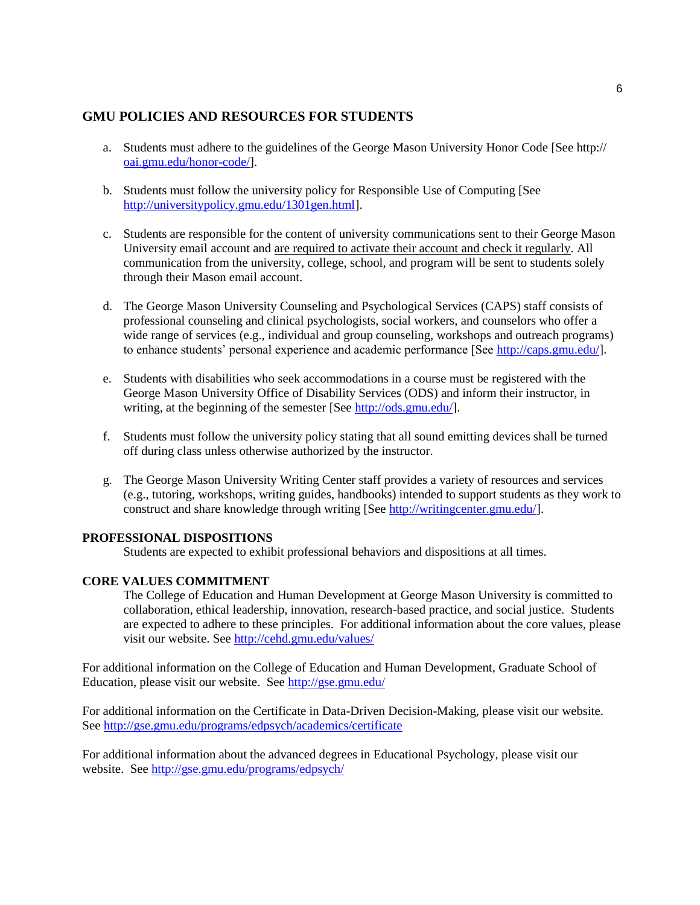### **GMU POLICIES AND RESOURCES FOR STUDENTS**

- a. Students must adhere to the guidelines of the George Mason University Honor Code [See http:// [oai.gmu.edu/honor-code/\]](http://oai.gmu.edu/honor-code/).
- b. Students must follow the university policy for Responsible Use of Computing [See [http://universitypolicy.gmu.edu/1301gen.html\]](http://universitypolicy.gmu.edu/1301gen.html).
- c. Students are responsible for the content of university communications sent to their George Mason University email account and are required to activate their account and check it regularly. All communication from the university, college, school, and program will be sent to students solely through their Mason email account.
- d. The George Mason University Counseling and Psychological Services (CAPS) staff consists of professional counseling and clinical psychologists, social workers, and counselors who offer a wide range of services (e.g., individual and group counseling, workshops and outreach programs) to enhance students' personal experience and academic performance [See [http://caps.gmu.edu/\]](http://caps.gmu.edu/).
- e. Students with disabilities who seek accommodations in a course must be registered with the George Mason University Office of Disability Services (ODS) and inform their instructor, in writing, at the beginning of the semester [See [http://ods.gmu.edu/\]](http://ods.gmu.edu/).
- f. Students must follow the university policy stating that all sound emitting devices shall be turned off during class unless otherwise authorized by the instructor.
- g. The George Mason University Writing Center staff provides a variety of resources and services (e.g., tutoring, workshops, writing guides, handbooks) intended to support students as they work to construct and share knowledge through writing [See [http://writingcenter.gmu.edu/\]](http://writingcenter.gmu.edu/).

#### **PROFESSIONAL DISPOSITIONS**

Students are expected to exhibit professional behaviors and dispositions at all times.

#### **CORE VALUES COMMITMENT**

The College of Education and Human Development at George Mason University is committed to collaboration, ethical leadership, innovation, research-based practice, and social justice. Students are expected to adhere to these principles. For additional information about the core values, please visit our website. See<http://cehd.gmu.edu/values/>

For additional information on the College of Education and Human Development, Graduate School of Education, please visit our website. See<http://gse.gmu.edu/>

For additional information on the Certificate in Data-Driven Decision-Making, please visit our website. See<http://gse.gmu.edu/programs/edpsych/academics/certificate>

For additional information about the advanced degrees in Educational Psychology, please visit our website. See<http://gse.gmu.edu/programs/edpsych/>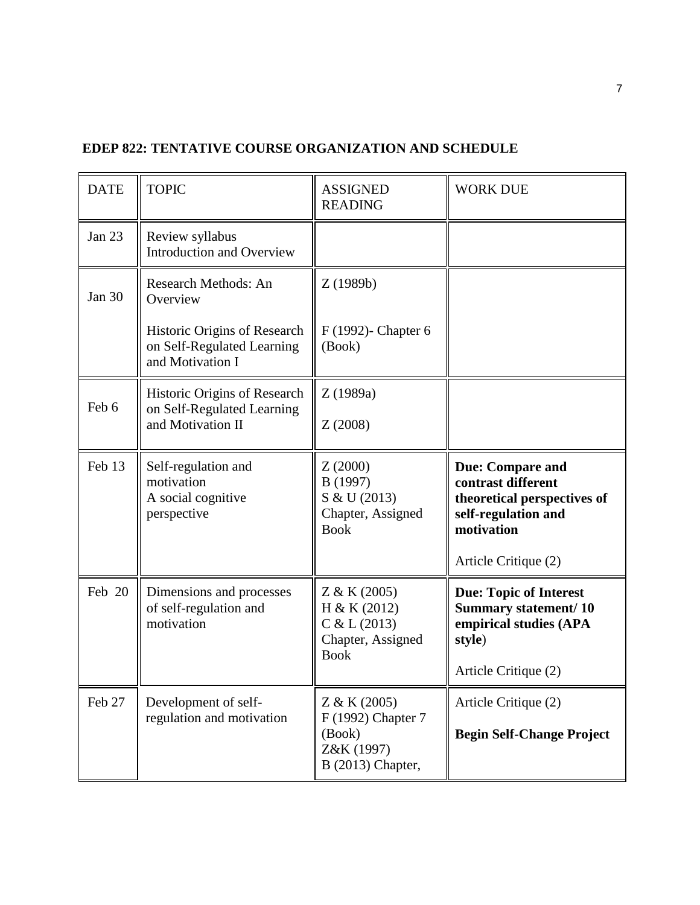| <b>DATE</b>   | <b>TOPIC</b>                                                                    | <b>ASSIGNED</b><br><b>READING</b>                                                | <b>WORK DUE</b>                                                                                                                           |
|---------------|---------------------------------------------------------------------------------|----------------------------------------------------------------------------------|-------------------------------------------------------------------------------------------------------------------------------------------|
| <b>Jan 23</b> | Review syllabus<br><b>Introduction and Overview</b>                             |                                                                                  |                                                                                                                                           |
| Jan 30        | Research Methods: An<br>Overview                                                | Z(1989b)                                                                         |                                                                                                                                           |
|               | Historic Origins of Research<br>on Self-Regulated Learning<br>and Motivation I  | F (1992)- Chapter 6<br>(Book)                                                    |                                                                                                                                           |
| Feb 6         | Historic Origins of Research<br>on Self-Regulated Learning<br>and Motivation II | Z(1989a)<br>Z(2008)                                                              |                                                                                                                                           |
| Feb 13        | Self-regulation and<br>motivation<br>A social cognitive<br>perspective          | Z(2000)<br>B (1997)<br>S & U (2013)<br>Chapter, Assigned<br><b>Book</b>          | <b>Due: Compare and</b><br>contrast different<br>theoretical perspectives of<br>self-regulation and<br>motivation<br>Article Critique (2) |
| Feb 20        | Dimensions and processes<br>of self-regulation and<br>motivation                | Z & K (2005)<br>H & K (2012)<br>C & L (2013)<br>Chapter, Assigned<br><b>Book</b> | <b>Due: Topic of Interest</b><br><b>Summary statement/10</b><br>empirical studies (APA<br>style)<br>Article Critique (2)                  |
| Feb 27        | Development of self-<br>regulation and motivation                               | Z & K (2005)<br>F (1992) Chapter 7<br>(Book)<br>Z&K (1997)<br>B (2013) Chapter,  | Article Critique (2)<br><b>Begin Self-Change Project</b>                                                                                  |

# **EDEP 822: TENTATIVE COURSE ORGANIZATION AND SCHEDULE**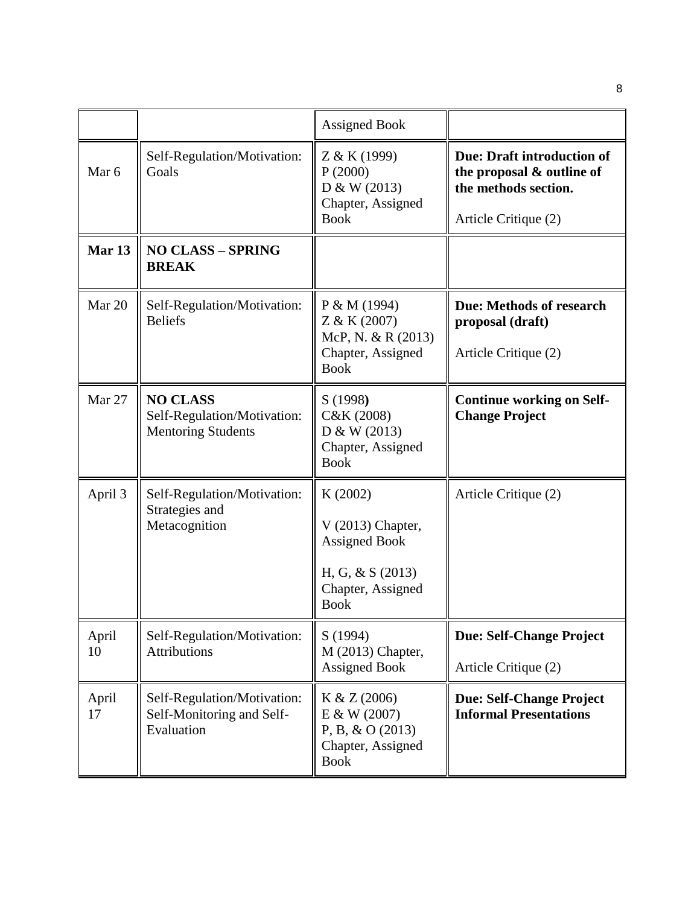|                   |                                                                             | <b>Assigned Book</b>                                                                                            |                                                                                                                |
|-------------------|-----------------------------------------------------------------------------|-----------------------------------------------------------------------------------------------------------------|----------------------------------------------------------------------------------------------------------------|
| Mar 6             | Self-Regulation/Motivation:<br>Goals                                        | Z & K (1999)<br>P(2000)<br>D & W (2013)<br>Chapter, Assigned<br><b>Book</b>                                     | <b>Due: Draft introduction of</b><br>the proposal & outline of<br>the methods section.<br>Article Critique (2) |
| Mar <sub>13</sub> | <b>NO CLASS - SPRING</b><br><b>BREAK</b>                                    |                                                                                                                 |                                                                                                                |
| Mar 20            | Self-Regulation/Motivation:<br><b>Beliefs</b>                               | P & M (1994)<br>Z & K (2007)<br>McP, N. & R (2013)<br>Chapter, Assigned<br><b>Book</b>                          | <b>Due: Methods of research</b><br>proposal (draft)<br>Article Critique (2)                                    |
| <b>Mar 27</b>     | <b>NO CLASS</b><br>Self-Regulation/Motivation:<br><b>Mentoring Students</b> | S (1998)<br>C&K (2008)<br>D & W (2013)<br>Chapter, Assigned<br><b>Book</b>                                      | <b>Continue working on Self-</b><br><b>Change Project</b>                                                      |
| April 3           | Self-Regulation/Motivation:<br>Strategies and<br>Metacognition              | K(2002)<br>$V(2013)$ Chapter,<br><b>Assigned Book</b><br>H, G, & S $(2013)$<br>Chapter, Assigned<br><b>Book</b> | Article Critique (2)                                                                                           |
| April<br>10       | Self-Regulation/Motivation:<br><b>Attributions</b>                          | S(1994)<br>M (2013) Chapter,<br><b>Assigned Book</b>                                                            | <b>Due: Self-Change Project</b><br>Article Critique (2)                                                        |
| April<br>17       | Self-Regulation/Motivation:<br>Self-Monitoring and Self-<br>Evaluation      | K & Z (2006)<br>E & W (2007)<br>$P, B, \& O(2013)$<br>Chapter, Assigned<br><b>Book</b>                          | <b>Due: Self-Change Project</b><br><b>Informal Presentations</b>                                               |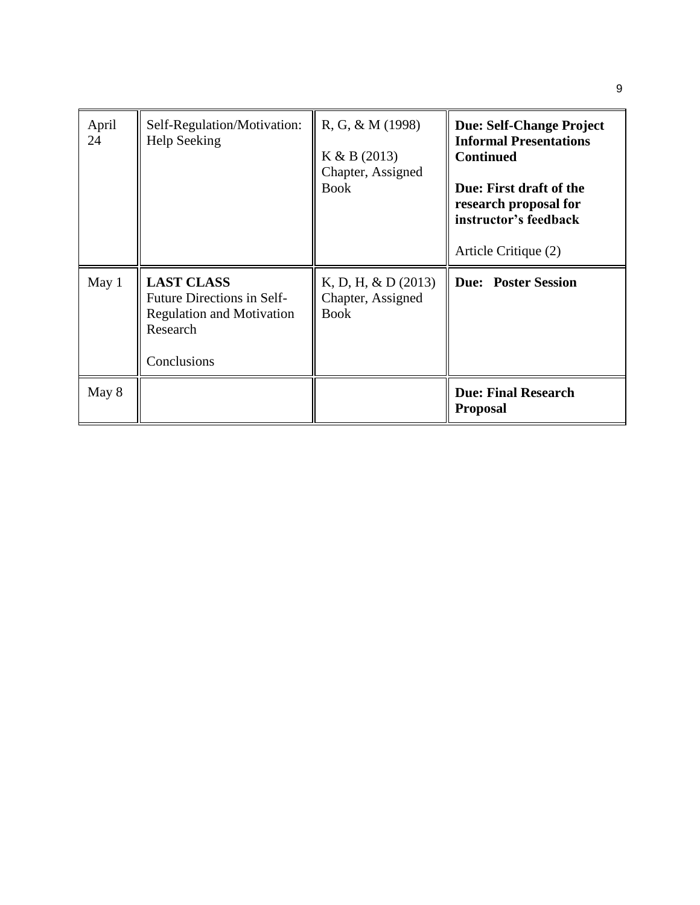| April<br>24 | Self-Regulation/Motivation:<br><b>Help Seeking</b>                                                             | $R, G, \& M(1998)$<br>K & B (2013)<br>Chapter, Assigned<br><b>Book</b> | <b>Due: Self-Change Project</b><br><b>Informal Presentations</b><br><b>Continued</b><br>Due: First draft of the<br>research proposal for<br>instructor's feedback<br>Article Critique (2) |
|-------------|----------------------------------------------------------------------------------------------------------------|------------------------------------------------------------------------|-------------------------------------------------------------------------------------------------------------------------------------------------------------------------------------------|
| May 1       | <b>LAST CLASS</b><br>Future Directions in Self-<br><b>Regulation and Motivation</b><br>Research<br>Conclusions | K, D, H, $& D(2013)$<br>Chapter, Assigned<br><b>Book</b>               | <b>Due: Poster Session</b>                                                                                                                                                                |
| May 8       |                                                                                                                |                                                                        | <b>Due: Final Research</b><br><b>Proposal</b>                                                                                                                                             |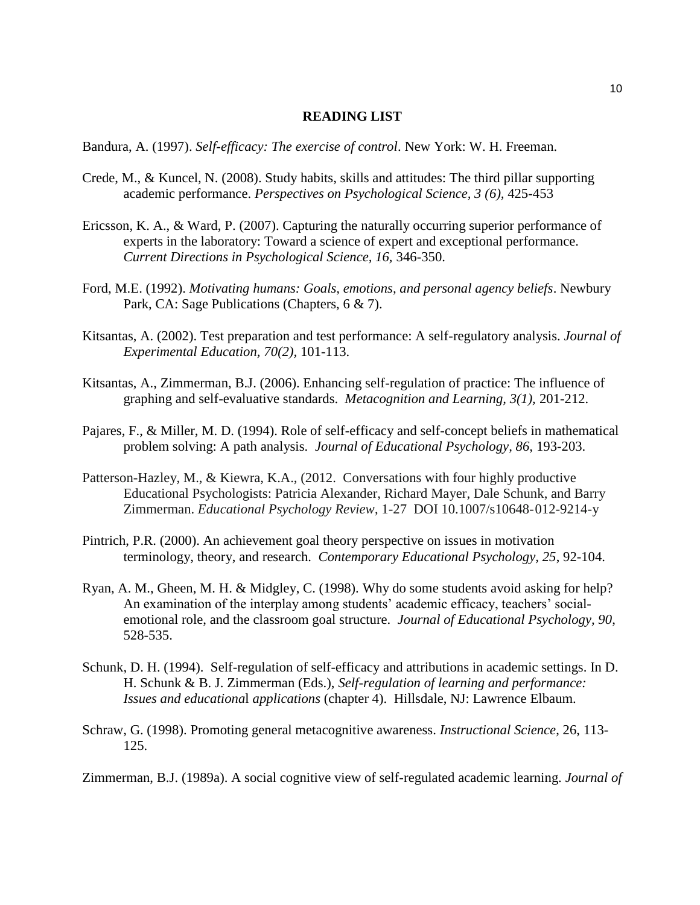#### **READING LIST**

Bandura, A. (1997). *Self-efficacy: The exercise of control*. New York: W. H. Freeman.

- Crede, M., & Kuncel, N. (2008). Study habits, skills and attitudes: The third pillar supporting academic performance. *Perspectives on Psychological Science, 3 (6),* 425-453
- Ericsson, K. A., & Ward, P. (2007). Capturing the naturally occurring superior performance of experts in the laboratory: Toward a science of expert and exceptional performance. *Current Directions in Psychological Science, 16,* 346-350.
- Ford, M.E. (1992). *Motivating humans: Goals, emotions, and personal agency beliefs*. Newbury Park, CA: Sage Publications (Chapters, 6 & 7).
- Kitsantas, A. (2002). Test preparation and test performance: A self-regulatory analysis. *Journal of Experimental Education, 70(2),* 101-113.
- Kitsantas, A., Zimmerman, B.J. (2006). Enhancing self-regulation of practice: The influence of graphing and self-evaluative standards. *Metacognition and Learning, 3(1),* 201-212.
- Pajares, F., & Miller, M. D. (1994). Role of self-efficacy and self-concept beliefs in mathematical problem solving: A path analysis. *Journal of Educational Psychology, 86,* 193-203.
- Patterson-Hazley, M., & Kiewra, K.A., (2012. Conversations with four highly productive Educational Psychologists: Patricia Alexander, Richard Mayer, Dale Schunk, and Barry Zimmerman. *Educational Psychology Review*, 1-27 DOI 10.1007/s10648-012-9214-y
- Pintrich, P.R. (2000). An achievement goal theory perspective on issues in motivation terminology, theory, and research. *Contemporary Educational Psychology, 25*, 92-104.
- Ryan, A. M., Gheen, M. H. & Midgley, C. (1998). Why do some students avoid asking for help? An examination of the interplay among students' academic efficacy, teachers' socialemotional role, and the classroom goal structure. *Journal of Educational Psychology, 90*, 528-535.
- Schunk, D. H. (1994). Self-regulation of self-efficacy and attributions in academic settings. In D. H. Schunk & B. J. Zimmerman (Eds.), *Self-regulation of learning and performance: Issues and educationa*l *applications* (chapter 4). Hillsdale, NJ: Lawrence Elbaum.
- Schraw, G. (1998). Promoting general metacognitive awareness. *Instructional Science*, 26, 113- 125.

Zimmerman, B.J. (1989a). A social cognitive view of self-regulated academic learning. *Journal of*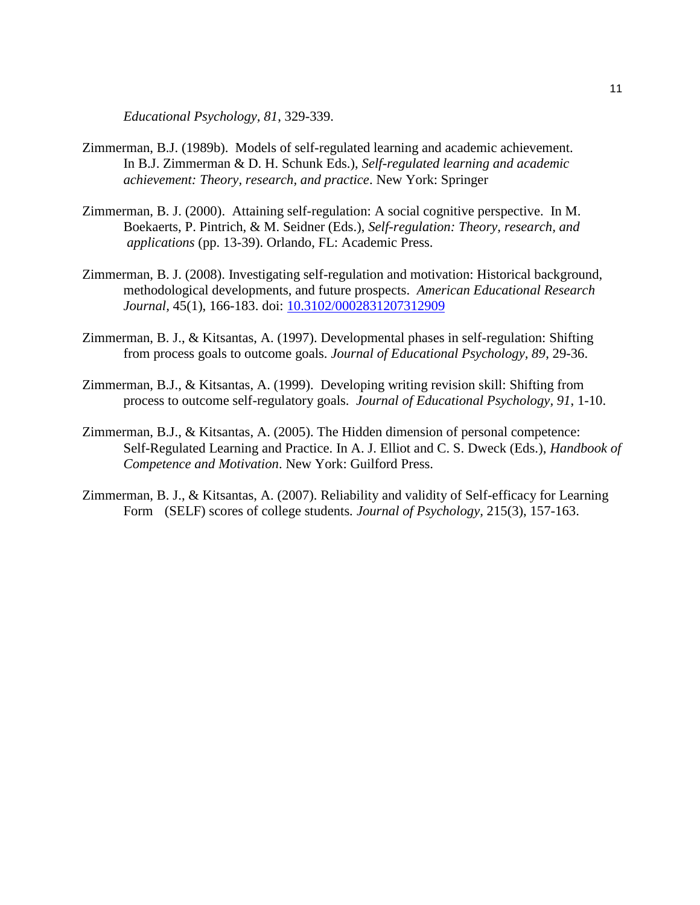*Educational Psychology, 81*, 329-339.

- Zimmerman, B.J. (1989b). Models of self-regulated learning and academic achievement. In B.J. Zimmerman & D. H. Schunk Eds.), *Self-regulated learning and academic achievement: Theory, research, and practice*. New York: Springer
- Zimmerman, B. J. (2000). Attaining self-regulation: A social cognitive perspective. In M. Boekaerts, P. Pintrich, & M. Seidner (Eds.), *Self-regulation: Theory, research, and applications* (pp. 13-39). Orlando, FL: Academic Press.
- Zimmerman, B. J. (2008). Investigating self-regulation and motivation: Historical background, methodological developments, and future prospects. *American Educational Research Journal,* 45(1), 166-183. doi: [10.3102/0002831207312909](http://psycnet.apa.org.mutex.gmu.edu/doi/10.3102/0002831207312909)
- Zimmerman, B. J., & Kitsantas, A. (1997). Developmental phases in self-regulation: Shifting from process goals to outcome goals. *Journal of Educational Psychology, 89*, 29-36.
- Zimmerman, B.J., & Kitsantas, A. (1999). Developing writing revision skill: Shifting from process to outcome self-regulatory goals. *Journal of Educational Psychology, 91*, 1-10.
- Zimmerman, B.J., & Kitsantas, A. (2005). The Hidden dimension of personal competence: Self-Regulated Learning and Practice. In A. J. Elliot and C. S. Dweck (Eds.), *Handbook of Competence and Motivation*. New York: Guilford Press.
- Zimmerman, B. J., & Kitsantas, A. (2007). Reliability and validity of Self-efficacy for Learning Form (SELF) scores of college students*. Journal of Psychology,* 215(3), 157-163.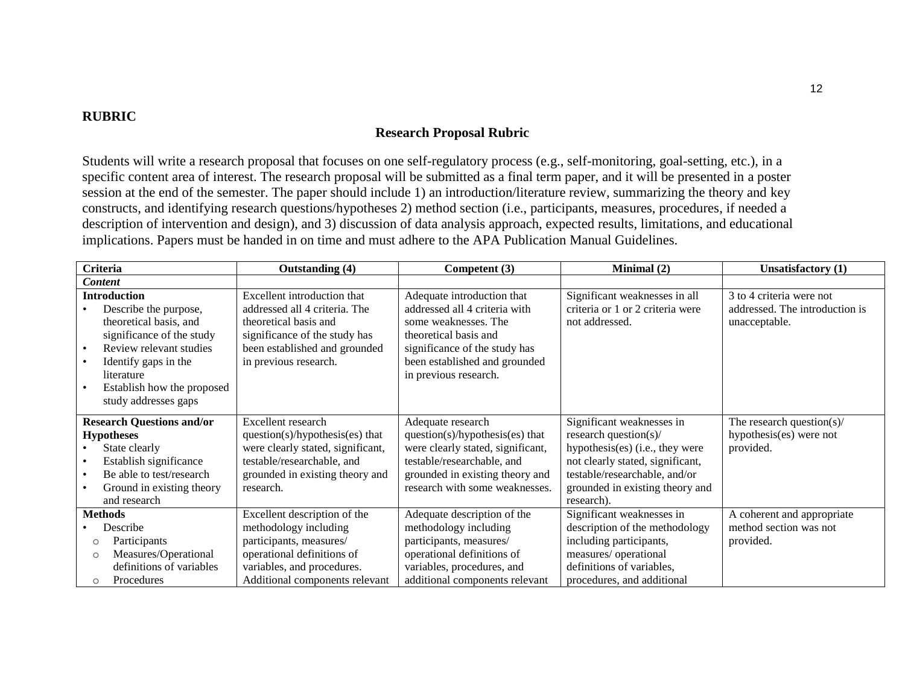### **RUBRIC**

### **Research Proposal Rubric**

Students will write a research proposal that focuses on one self-regulatory process (e.g., self-monitoring, goal-setting, etc.), in a specific content area of interest. The research proposal will be submitted as a final term paper, and it will be presented in a poster session at the end of the semester. The paper should include 1) an introduction/literature review, summarizing the theory and key constructs, and identifying research questions/hypotheses 2) method section (i.e., participants, measures, procedures, if needed a description of intervention and design), and 3) discussion of data analysis approach, expected results, limitations, and educational implications. Papers must be handed in on time and must adhere to the APA Publication Manual Guidelines.

| <b>Criteria</b>                  | Outstanding (4)                   | Competent (3)                     | Minimal (2)                      | <b>Unsatisfactory</b> (1)      |
|----------------------------------|-----------------------------------|-----------------------------------|----------------------------------|--------------------------------|
| <b>Content</b>                   |                                   |                                   |                                  |                                |
| <b>Introduction</b>              | Excellent introduction that       | Adequate introduction that        | Significant weaknesses in all    | 3 to 4 criteria were not       |
| Describe the purpose,            | addressed all 4 criteria. The     | addressed all 4 criteria with     | criteria or 1 or 2 criteria were | addressed. The introduction is |
| theoretical basis, and           | theoretical basis and             | some weaknesses. The              | not addressed.                   | unacceptable.                  |
| significance of the study        | significance of the study has     | theoretical basis and             |                                  |                                |
| Review relevant studies          | been established and grounded     | significance of the study has     |                                  |                                |
| Identify gaps in the             | in previous research.             | been established and grounded     |                                  |                                |
| literature                       |                                   | in previous research.             |                                  |                                |
| Establish how the proposed       |                                   |                                   |                                  |                                |
| study addresses gaps             |                                   |                                   |                                  |                                |
| <b>Research Questions and/or</b> | Excellent research                | Adequate research                 | Significant weaknesses in        | The research question( $s$ )/  |
| <b>Hypotheses</b>                | question(s)/hypothesis(es) that   | question(s)/hypothesis(es) that   | research question( $s$ )/        | hypothesis(es) were not        |
| State clearly                    | were clearly stated, significant, | were clearly stated, significant, | hypothesis(es) (i.e., they were  | provided.                      |
| Establish significance           | testable/researchable, and        | testable/researchable, and        | not clearly stated, significant, |                                |
| Be able to test/research         | grounded in existing theory and   | grounded in existing theory and   | testable/researchable, and/or    |                                |
| Ground in existing theory        | research.                         | research with some weaknesses.    | grounded in existing theory and  |                                |
| and research                     |                                   |                                   | research).                       |                                |
| <b>Methods</b>                   | Excellent description of the      | Adequate description of the       | Significant weaknesses in        | A coherent and appropriate     |
| Describe                         | methodology including             | methodology including             | description of the methodology   | method section was not         |
| Participants<br>$\circ$          | participants, measures/           | participants, measures/           | including participants,          | provided.                      |
| Measures/Operational<br>$\circ$  | operational definitions of        | operational definitions of        | measures/ operational            |                                |
| definitions of variables         | variables, and procedures.        | variables, procedures, and        | definitions of variables,        |                                |
| Procedures<br>$\circ$            | Additional components relevant    | additional components relevant    | procedures, and additional       |                                |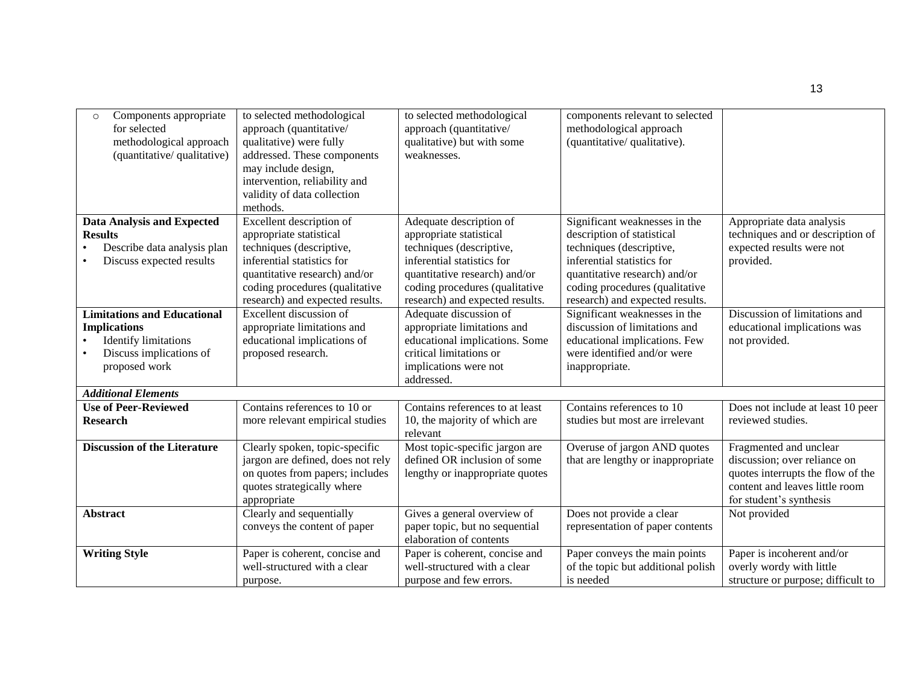| Components appropriate<br>$\circ$<br>for selected<br>methodological approach<br>(quantitative/ qualitative)                          | to selected methodological<br>approach (quantitative/<br>qualitative) were fully<br>addressed. These components<br>may include design,                                                                              | to selected methodological<br>approach (quantitative/<br>qualitative) but with some<br>weaknesses.                                                                                                                 | components relevant to selected<br>methodological approach<br>(quantitative/qualitative).                                                                                                                                   |                                                                                                                                                          |
|--------------------------------------------------------------------------------------------------------------------------------------|---------------------------------------------------------------------------------------------------------------------------------------------------------------------------------------------------------------------|--------------------------------------------------------------------------------------------------------------------------------------------------------------------------------------------------------------------|-----------------------------------------------------------------------------------------------------------------------------------------------------------------------------------------------------------------------------|----------------------------------------------------------------------------------------------------------------------------------------------------------|
|                                                                                                                                      | intervention, reliability and<br>validity of data collection<br>methods.                                                                                                                                            |                                                                                                                                                                                                                    |                                                                                                                                                                                                                             |                                                                                                                                                          |
| <b>Data Analysis and Expected</b><br><b>Results</b><br>Describe data analysis plan<br>Discuss expected results                       | Excellent description of<br>appropriate statistical<br>techniques (descriptive,<br>inferential statistics for<br>quantitative research) and/or<br>coding procedures (qualitative<br>research) and expected results. | Adequate description of<br>appropriate statistical<br>techniques (descriptive,<br>inferential statistics for<br>quantitative research) and/or<br>coding procedures (qualitative<br>research) and expected results. | Significant weaknesses in the<br>description of statistical<br>techniques (descriptive,<br>inferential statistics for<br>quantitative research) and/or<br>coding procedures (qualitative<br>research) and expected results. | Appropriate data analysis<br>techniques and or description of<br>expected results were not<br>provided.                                                  |
| <b>Limitations and Educational</b><br><b>Implications</b><br><b>Identify limitations</b><br>Discuss implications of<br>proposed work | Excellent discussion of<br>appropriate limitations and<br>educational implications of<br>proposed research.                                                                                                         | Adequate discussion of<br>appropriate limitations and<br>educational implications. Some<br>critical limitations or<br>implications were not<br>addressed.                                                          | Significant weaknesses in the<br>discussion of limitations and<br>educational implications. Few<br>were identified and/or were<br>inappropriate.                                                                            | Discussion of limitations and<br>educational implications was<br>not provided.                                                                           |
| <b>Additional Elements</b>                                                                                                           |                                                                                                                                                                                                                     |                                                                                                                                                                                                                    |                                                                                                                                                                                                                             |                                                                                                                                                          |
| <b>Use of Peer-Reviewed</b><br><b>Research</b>                                                                                       | Contains references to 10 or<br>more relevant empirical studies                                                                                                                                                     | Contains references to at least<br>10, the majority of which are<br>relevant                                                                                                                                       | Contains references to 10<br>studies but most are irrelevant                                                                                                                                                                | Does not include at least 10 peer<br>reviewed studies.                                                                                                   |
| <b>Discussion of the Literature</b>                                                                                                  | Clearly spoken, topic-specific<br>jargon are defined, does not rely<br>on quotes from papers; includes<br>quotes strategically where<br>appropriate                                                                 | Most topic-specific jargon are<br>defined OR inclusion of some<br>lengthy or inappropriate quotes                                                                                                                  | Overuse of jargon AND quotes<br>that are lengthy or inappropriate                                                                                                                                                           | Fragmented and unclear<br>discussion; over reliance on<br>quotes interrupts the flow of the<br>content and leaves little room<br>for student's synthesis |
| <b>Abstract</b>                                                                                                                      | Clearly and sequentially<br>conveys the content of paper                                                                                                                                                            | Gives a general overview of<br>paper topic, but no sequential<br>elaboration of contents                                                                                                                           | Does not provide a clear<br>representation of paper contents                                                                                                                                                                | Not provided                                                                                                                                             |
| <b>Writing Style</b>                                                                                                                 | Paper is coherent, concise and<br>well-structured with a clear<br>purpose.                                                                                                                                          | Paper is coherent, concise and<br>well-structured with a clear<br>purpose and few errors.                                                                                                                          | Paper conveys the main points<br>of the topic but additional polish<br>is needed                                                                                                                                            | Paper is incoherent and/or<br>overly wordy with little<br>structure or purpose; difficult to                                                             |